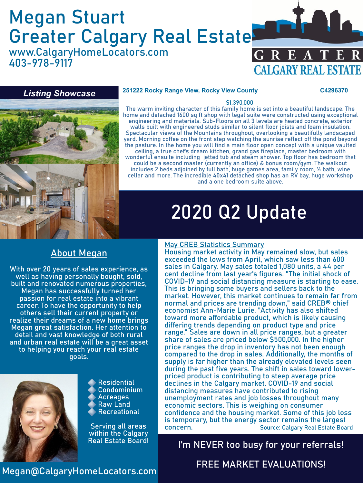# Megan Stuart Greater Calgary Real Estate

www.CalgaryHomeLocators.com 403-978-9117





#### **251222 Rocky Range View, Rocky View County C4296370**

#### \$1,390,000

The warm inviting character of this family home is set into a beautiful landscape. The home and detached 1600 sq ft shop with legal suite were constructed using exceptional engineering and materials. Sub-Floors on all 3 levels are heated concrete, exterior walls built with engineered studs similar to silent floor joists and foam insulation. Spectacular views of the Mountains throughout, overlooking a beautifully landscaped yard. Morning coffee on the front step watching the sunrise reflect off the pond beyond the pasture. In the home you will find a main floor open concept with a unique vaulted ceiling, a true chef's dream kitchen, grand gas fireplace, master bedroom with wonderful ensuite including jetted tub and steam shower. Top floor has bedroom that could be a second master (currently an office) & bonus room/gym. The walkout includes 2 beds adjoined by full bath, huge games area, family room, ½ bath, wine cellar and more. The incredible 40x41 detached shop has an RV bay, huge workshop and a one bedroom suite above.

## 2020 Q2 Update

### About Megan

With over 20 years of sales experience, as well as having personally bought, sold, built and renovated numerous properties, Megan has successfully turned her passion for real estate into a vibrant career. To have the opportunity to help others sell their current property or realize their dreams of a new home brings Megan great satisfaction. Her attention to detail and vast knowledge of both rural and urban real estate will be a great asset to helping you reach your real estate goals.



Residential Condominium Acreages Raw Land Recreational

Serving all areas within the Calgary

#### May CREB Statistics Summary

Housing market activity in May remained slow, but sales exceeded the lows from April, which saw less than 600 sales in Calgary. May sales totaled 1,080 units, a 44 per cent decline from last year's figures. "The initial shock of COVID-19 and social distancing measure is starting to ease. This is bringing some buyers and sellers back to the market. However, this market continues to remain far from normal and prices are trending down," said CREB® chief economist Ann-Marie Lurie. "Activity has also shifted toward more affordable product, which is likely causing differing trends depending on product type and price range." Sales are down in all price ranges, but a greater share of sales are priced below \$500,000. In the higher price ranges the drop in inventory has not been enough compared to the drop in sales. Additionally, the months of supply is far higher than the already elevated levels seen during the past five years. The shift in sales toward lowerpriced product is contributing to steep average price declines in the Calgary market. COVID-19 and social distancing measures have contributed to rising unemployment rates and job losses throughout many economic sectors. This is weighing on consumer confidence and the housing market. Some of this job loss is temporary, but the energy sector remains the largest concern. Source: Calgary Real Estate Board

I'm NEVER too busy for your referrals!

### Megan@CalgaryHomeLocators.com

## FREE MARKET EVALUATIONS!